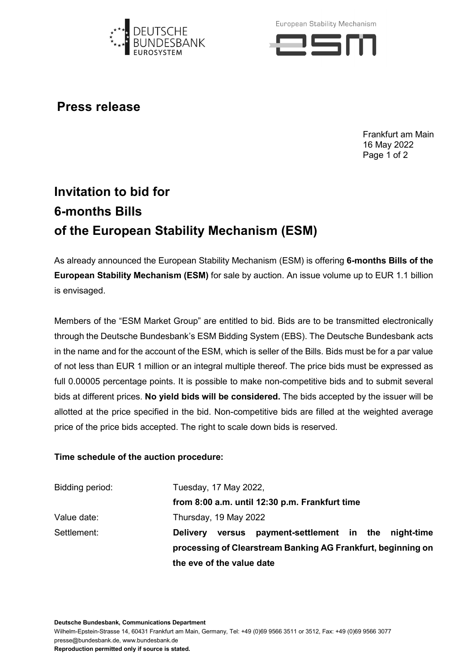

European Stability Mechanism



**Press release**

Frankfurt am Main 16 May 2022 Page 1 of 2

## **Invitation to bid for 6-months Bills of the European Stability Mechanism (ESM)**

As already announced the European Stability Mechanism (ESM) is offering **6-months Bills of the European Stability Mechanism (ESM)** for sale by auction. An issue volume up to EUR 1.1 billion is envisaged.

Members of the "ESM Market Group" are entitled to bid. Bids are to be transmitted electronically through the Deutsche Bundesbank's ESM Bidding System (EBS). The Deutsche Bundesbank acts in the name and for the account of the ESM, which is seller of the Bills. Bids must be for a par value of not less than EUR 1 million or an integral multiple thereof. The price bids must be expressed as full 0.00005 percentage points. It is possible to make non-competitive bids and to submit several bids at different prices. **No yield bids will be considered.** The bids accepted by the issuer will be allotted at the price specified in the bid. Non-competitive bids are filled at the weighted average price of the price bids accepted. The right to scale down bids is reserved.

## **Time schedule of the auction procedure:**

| Bidding period: | Tuesday, 17 May 2022,                                          |  |
|-----------------|----------------------------------------------------------------|--|
|                 | from 8:00 a.m. until 12:30 p.m. Frankfurt time                 |  |
| Value date:     | Thursday, 19 May 2022                                          |  |
| Settlement:     | versus payment-settlement in the night-time<br><b>Delivery</b> |  |
|                 | processing of Clearstream Banking AG Frankfurt, beginning on   |  |
|                 | the eve of the value date                                      |  |